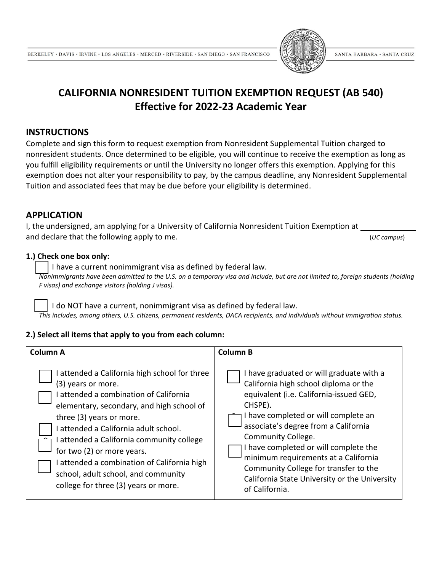

# **CALIFORNIA NONRESIDENT TUITION EXEMPTION REQUEST (AB 540) Effective for 2022-23 Academic Year**

### **INSTRUCTIONS**

Complete and sign this form to request exemption from Nonresident Supplemental Tuition charged to nonresident students. Once determined to be eligible, you will continue to receive the exemption as long as you fulfill eligibility requirements or until the University no longer offers this exemption. Applying for this exemption does not alter your responsibility to pay, by the campus deadline, any Nonresident Supplemental Tuition and associated fees that may be due before your eligibility is determined.

## **APPLICATION**

I, the undersigned, am applying for a University of California Nonresident Tuition Exemption at \_ and declare that the following apply to me. (*UC campus*)

#### **1.) Check one box only:**

I have a current nonimmigrant visa as defined by federal law.

*Nonimmigrants have been admitted to the U.S. on a temporary visa and include, but are not limited to, foreign students (holding F visas) and exchange visitors (holding J visas).*

I do NOT have a current, nonimmigrant visa as defined by federal law. *This includes, among others, U.S. citizens, permanent residents, DACA recipients, and individuals without immigration status.*

#### **2.) Select all items that apply to you from each column:**

| Column A                                                                                                                                                                                                                                                                                                                                                                                                                       | <b>Column B</b>                                                                                                                                                                                                                                                                                                                                                                                                                            |  |  |
|--------------------------------------------------------------------------------------------------------------------------------------------------------------------------------------------------------------------------------------------------------------------------------------------------------------------------------------------------------------------------------------------------------------------------------|--------------------------------------------------------------------------------------------------------------------------------------------------------------------------------------------------------------------------------------------------------------------------------------------------------------------------------------------------------------------------------------------------------------------------------------------|--|--|
| attended a California high school for three<br>(3) years or more.<br>attended a combination of California<br>elementary, secondary, and high school of<br>three (3) years or more.<br>attended a California adult school.<br>attended a California community college<br>for two (2) or more years.<br>attended a combination of California high<br>school, adult school, and community<br>college for three (3) years or more. | I have graduated or will graduate with a<br>California high school diploma or the<br>equivalent (i.e. California-issued GED,<br>CHSPE).<br>I have completed or will complete an<br>associate's degree from a California<br>Community College.<br>I have completed or will complete the<br>minimum requirements at a California<br>Community College for transfer to the<br>California State University or the University<br>of California. |  |  |